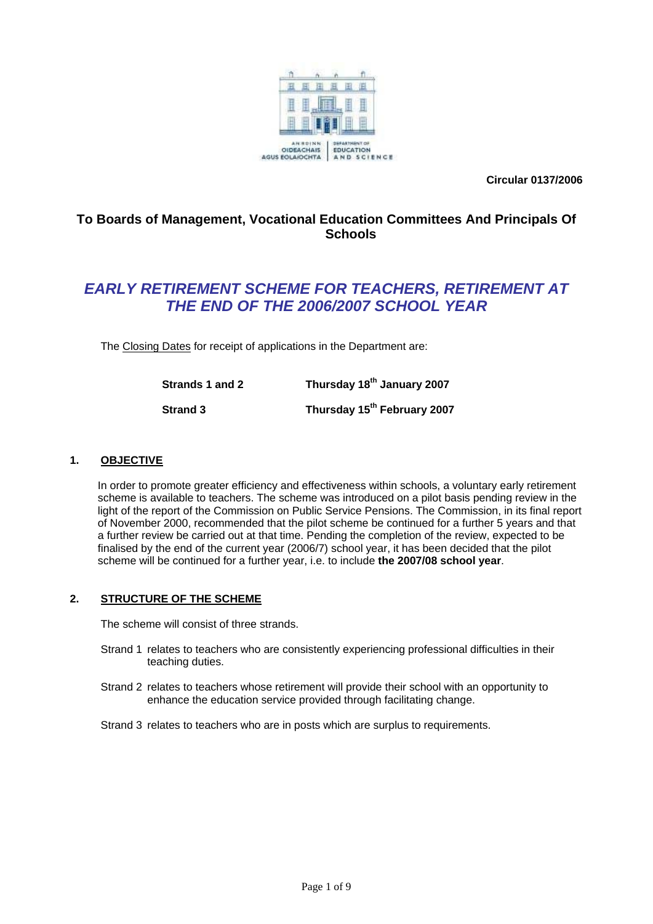

**Circular 0137/2006** 

# **To Boards of Management, Vocational Education Committees And Principals Of Schools**

# *EARLY RETIREMENT SCHEME FOR TEACHERS, RETIREMENT AT THE END OF THE 2006/2007 SCHOOL YEAR*

The Closing Dates for receipt of applications in the Department are:

| Strands 1 and 2 | Thursday 18 <sup>th</sup> January 2007  |
|-----------------|-----------------------------------------|
| <b>Strand 3</b> | Thursday 15 <sup>th</sup> February 2007 |

# **1. OBJECTIVE**

 In order to promote greater efficiency and effectiveness within schools, a voluntary early retirement scheme is available to teachers. The scheme was introduced on a pilot basis pending review in the light of the report of the Commission on Public Service Pensions. The Commission, in its final report of November 2000, recommended that the pilot scheme be continued for a further 5 years and that a further review be carried out at that time. Pending the completion of the review, expected to be finalised by the end of the current year (2006/7) school year, it has been decided that the pilot scheme will be continued for a further year, i.e. to include **the 2007/08 school year**.

# **2. STRUCTURE OF THE SCHEME**

The scheme will consist of three strands.

- Strand 1 relates to teachers who are consistently experiencing professional difficulties in their teaching duties.
- Strand 2 relates to teachers whose retirement will provide their school with an opportunity to enhance the education service provided through facilitating change.
- Strand 3 relates to teachers who are in posts which are surplus to requirements.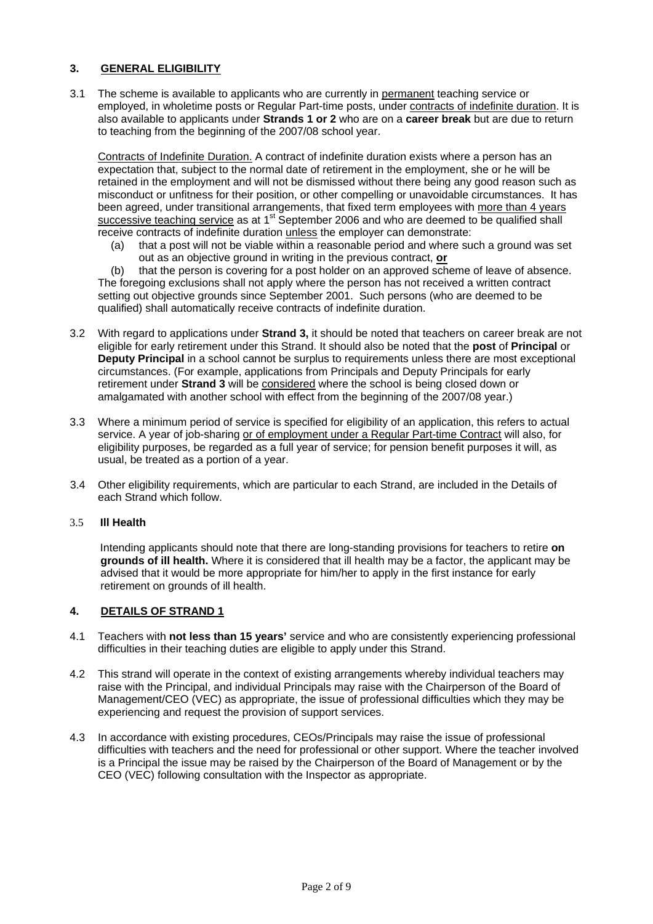# **3. GENERAL ELIGIBILITY**

3.1 The scheme is available to applicants who are currently in permanent teaching service or employed, in wholetime posts or Regular Part-time posts, under contracts of indefinite duration. It is also available to applicants under **Strands 1 or 2** who are on a **career break** but are due to return to teaching from the beginning of the 2007/08 school year.

Contracts of Indefinite Duration. A contract of indefinite duration exists where a person has an expectation that, subject to the normal date of retirement in the employment, she or he will be retained in the employment and will not be dismissed without there being any good reason such as misconduct or unfitness for their position, or other compelling or unavoidable circumstances. It has been agreed, under transitional arrangements, that fixed term employees with more than 4 years successive teaching service as at 1<sup>st</sup> September 2006 and who are deemed to be qualified shall receive contracts of indefinite duration unless the employer can demonstrate:

(a) that a post will not be viable within a reasonable period and where such a ground was set out as an objective ground in writing in the previous contract, **or**

(b) that the person is covering for a post holder on an approved scheme of leave of absence. The foregoing exclusions shall not apply where the person has not received a written contract setting out objective grounds since September 2001. Such persons (who are deemed to be qualified) shall automatically receive contracts of indefinite duration.

- 3.2 With regard to applications under **Strand 3,** it should be noted that teachers on career break are not eligible for early retirement under this Strand. It should also be noted that the **post** of **Principal** or **Deputy Principal** in a school cannot be surplus to requirements unless there are most exceptional circumstances. (For example, applications from Principals and Deputy Principals for early retirement under **Strand 3** will be considered where the school is being closed down or amalgamated with another school with effect from the beginning of the 2007/08 year.)
- 3.3 Where a minimum period of service is specified for eligibility of an application, this refers to actual service. A year of job-sharing or of employment under a Regular Part-time Contract will also, for eligibility purposes, be regarded as a full year of service; for pension benefit purposes it will, as usual, be treated as a portion of a year.
- 3.4 Other eligibility requirements, which are particular to each Strand, are included in the Details of each Strand which follow.

### 3.5 **Ill Health**

Intending applicants should note that there are long-standing provisions for teachers to retire **on grounds of ill health.** Where it is considered that ill health may be a factor, the applicant may be advised that it would be more appropriate for him/her to apply in the first instance for early retirement on grounds of ill health.

# **4. DETAILS OF STRAND 1**

- 4.1 Teachers with **not less than 15 years'** service and who are consistently experiencing professional difficulties in their teaching duties are eligible to apply under this Strand.
- 4.2 This strand will operate in the context of existing arrangements whereby individual teachers may raise with the Principal, and individual Principals may raise with the Chairperson of the Board of Management/CEO (VEC) as appropriate, the issue of professional difficulties which they may be experiencing and request the provision of support services.
- 4.3 In accordance with existing procedures, CEOs/Principals may raise the issue of professional difficulties with teachers and the need for professional or other support. Where the teacher involved is a Principal the issue may be raised by the Chairperson of the Board of Management or by the CEO (VEC) following consultation with the Inspector as appropriate.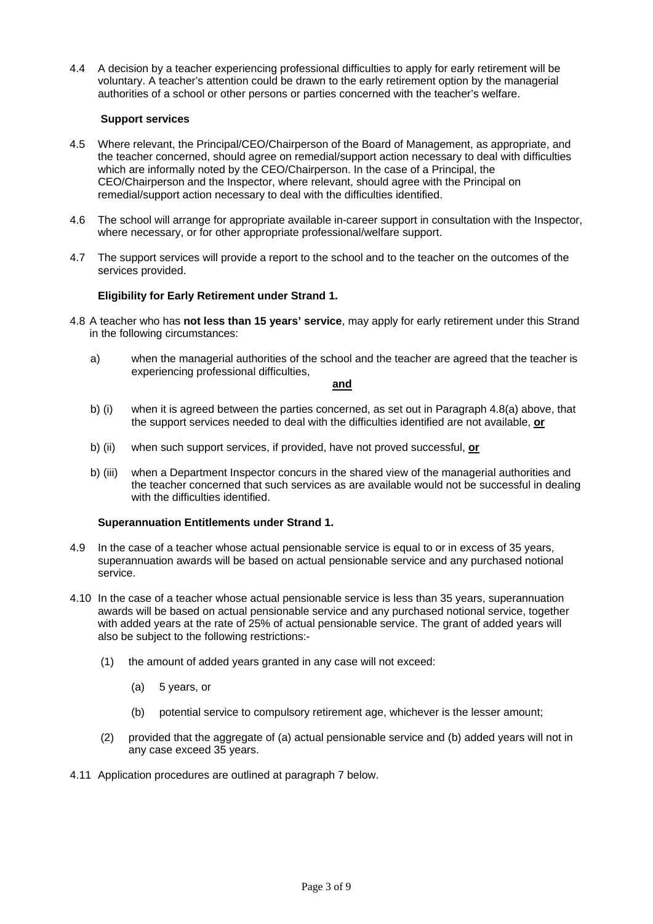4.4 A decision by a teacher experiencing professional difficulties to apply for early retirement will be voluntary. A teacher's attention could be drawn to the early retirement option by the managerial authorities of a school or other persons or parties concerned with the teacher's welfare.

# **Support services**

- 4.5 Where relevant, the Principal/CEO/Chairperson of the Board of Management, as appropriate, and the teacher concerned, should agree on remedial/support action necessary to deal with difficulties which are informally noted by the CEO/Chairperson. In the case of a Principal, the CEO/Chairperson and the Inspector, where relevant, should agree with the Principal on remedial/support action necessary to deal with the difficulties identified.
- 4.6 The school will arrange for appropriate available in-career support in consultation with the Inspector, where necessary, or for other appropriate professional/welfare support.
- 4.7 The support services will provide a report to the school and to the teacher on the outcomes of the services provided.

### **Eligibility for Early Retirement under Strand 1.**

- 4.8 A teacher who has **not less than 15 years' service**, may apply for early retirement under this Strand in the following circumstances:
	- a) when the managerial authorities of the school and the teacher are agreed that the teacher is experiencing professional difficulties,

#### **and**

- b) (i) when it is agreed between the parties concerned, as set out in Paragraph 4.8(a) above, that the support services needed to deal with the difficulties identified are not available, **or**
- b) (ii) when such support services, if provided, have not proved successful, **or**
- b) (iii) when a Department Inspector concurs in the shared view of the managerial authorities and the teacher concerned that such services as are available would not be successful in dealing with the difficulties identified.

### **Superannuation Entitlements under Strand 1.**

- 4.9 In the case of a teacher whose actual pensionable service is equal to or in excess of 35 years, superannuation awards will be based on actual pensionable service and any purchased notional service.
- 4.10 In the case of a teacher whose actual pensionable service is less than 35 years, superannuation awards will be based on actual pensionable service and any purchased notional service, together with added years at the rate of 25% of actual pensionable service. The grant of added years will also be subject to the following restrictions:-
	- (1) the amount of added years granted in any case will not exceed:
		- (a) 5 years, or
		- (b) potential service to compulsory retirement age, whichever is the lesser amount;
	- (2) provided that the aggregate of (a) actual pensionable service and (b) added years will not in any case exceed 35 years.
- 4.11 Application procedures are outlined at paragraph 7 below.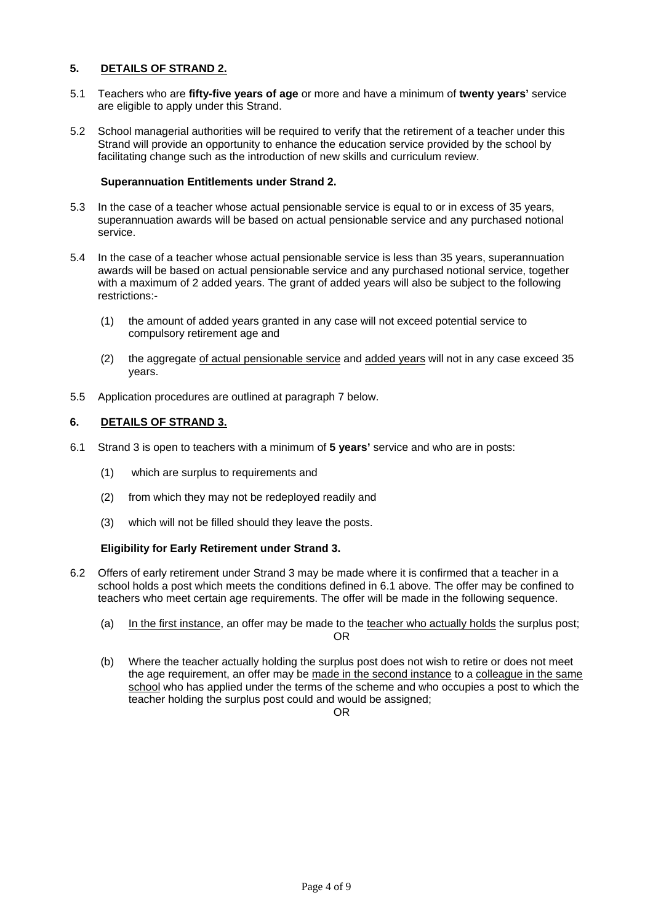# **5. DETAILS OF STRAND 2.**

- 5.1 Teachers who are **fifty-five years of age** or more and have a minimum of **twenty years'** service are eligible to apply under this Strand.
- 5.2 School managerial authorities will be required to verify that the retirement of a teacher under this Strand will provide an opportunity to enhance the education service provided by the school by facilitating change such as the introduction of new skills and curriculum review.

# **Superannuation Entitlements under Strand 2.**

- 5.3 In the case of a teacher whose actual pensionable service is equal to or in excess of 35 years, superannuation awards will be based on actual pensionable service and any purchased notional service.
- 5.4 In the case of a teacher whose actual pensionable service is less than 35 years, superannuation awards will be based on actual pensionable service and any purchased notional service, together with a maximum of 2 added years. The grant of added years will also be subject to the following restrictions:-
	- (1) the amount of added years granted in any case will not exceed potential service to compulsory retirement age and
	- (2) the aggregate of actual pensionable service and added years will not in any case exceed 35 years.
- 5.5 Application procedures are outlined at paragraph 7 below.

### **6. DETAILS OF STRAND 3.**

- 6.1 Strand 3 is open to teachers with a minimum of **5 years'** service and who are in posts:
	- (1) which are surplus to requirements and
	- (2) from which they may not be redeployed readily and
	- (3) which will not be filled should they leave the posts.

# **Eligibility for Early Retirement under Strand 3.**

- 6.2 Offers of early retirement under Strand 3 may be made where it is confirmed that a teacher in a school holds a post which meets the conditions defined in 6.1 above. The offer may be confined to teachers who meet certain age requirements. The offer will be made in the following sequence.
	- (a) In the first instance, an offer may be made to the teacher who actually holds the surplus post; OR
	- (b) Where the teacher actually holding the surplus post does not wish to retire or does not meet the age requirement, an offer may be made in the second instance to a colleague in the same school who has applied under the terms of the scheme and who occupies a post to which the teacher holding the surplus post could and would be assigned;

OR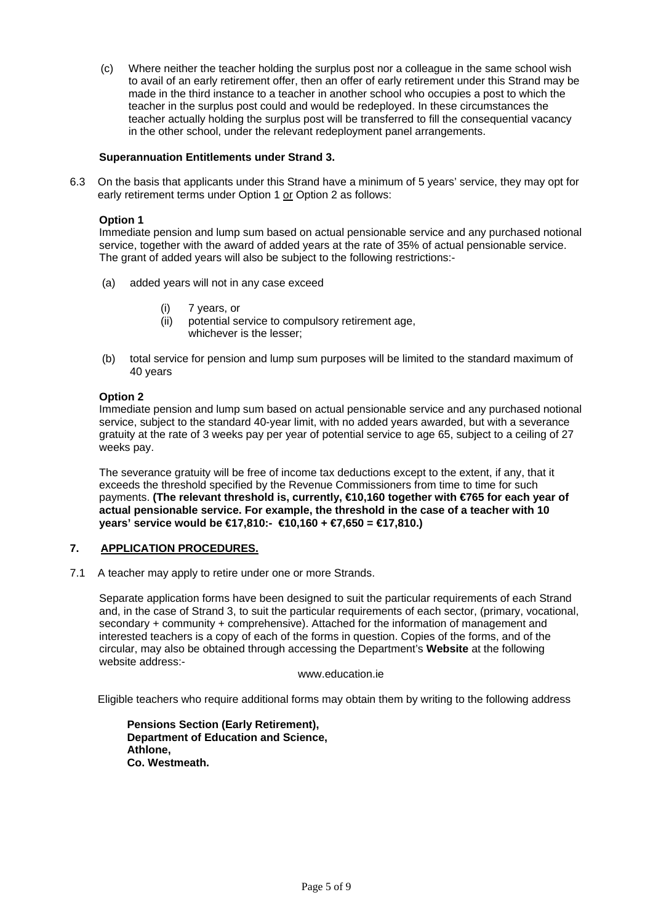(c) Where neither the teacher holding the surplus post nor a colleague in the same school wish to avail of an early retirement offer, then an offer of early retirement under this Strand may be made in the third instance to a teacher in another school who occupies a post to which the teacher in the surplus post could and would be redeployed. In these circumstances the teacher actually holding the surplus post will be transferred to fill the consequential vacancy in the other school, under the relevant redeployment panel arrangements.

### **Superannuation Entitlements under Strand 3.**

6.3 On the basis that applicants under this Strand have a minimum of 5 years' service, they may opt for early retirement terms under Option 1 or Option 2 as follows:

### **Option 1**

Immediate pension and lump sum based on actual pensionable service and any purchased notional service, together with the award of added years at the rate of 35% of actual pensionable service. The grant of added years will also be subject to the following restrictions:-

- (a) added years will not in any case exceed
	- (i) 7 years, or
	- (ii) potential service to compulsory retirement age, whichever is the lesser;
- (b) total service for pension and lump sum purposes will be limited to the standard maximum of 40 years

### **Option 2**

Immediate pension and lump sum based on actual pensionable service and any purchased notional service, subject to the standard 40-year limit, with no added years awarded, but with a severance gratuity at the rate of 3 weeks pay per year of potential service to age 65, subject to a ceiling of 27 weeks pay.

The severance gratuity will be free of income tax deductions except to the extent, if any, that it exceeds the threshold specified by the Revenue Commissioners from time to time for such payments. **(The relevant threshold is, currently, €10,160 together with €765 for each year of actual pensionable service. For example, the threshold in the case of a teacher with 10 years' service would be €17,810:- €10,160 + €7,650 = €17,810.)** 

# **7. APPLICATION PROCEDURES.**

7.1 A teacher may apply to retire under one or more Strands.

Separate application forms have been designed to suit the particular requirements of each Strand and, in the case of Strand 3, to suit the particular requirements of each sector, (primary, vocational, secondary + community + comprehensive). Attached for the information of management and interested teachers is a copy of each of the forms in question. Copies of the forms, and of the circular, may also be obtained through accessing the Department's **Website** at the following website address:-

#### www.education.ie

Eligible teachers who require additional forms may obtain them by writing to the following address

 **Pensions Section (Early Retirement), Department of Education and Science, Athlone, Co. Westmeath.**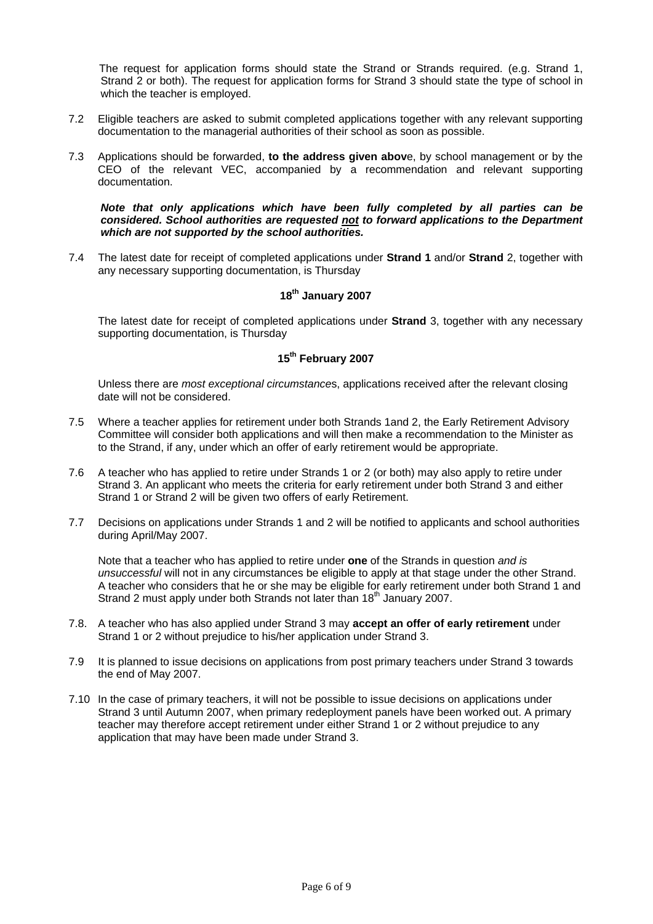The request for application forms should state the Strand or Strands required. (e.g. Strand 1, Strand 2 or both). The request for application forms for Strand 3 should state the type of school in which the teacher is employed.

- 7.2 Eligible teachers are asked to submit completed applications together with any relevant supporting documentation to the managerial authorities of their school as soon as possible.
- 7.3 Applications should be forwarded, **to the address given abov**e, by school management or by the CEO of the relevant VEC, accompanied by a recommendation and relevant supporting documentation.

#### *Note that only applications which have been fully completed by all parties can be considered. School authorities are requested not to forward applications to the Department which are not supported by the school authorities.*

7.4 The latest date for receipt of completed applications under **Strand 1** and/or **Strand** 2, together with any necessary supporting documentation, is Thursday

# **18th January 2007**

 The latest date for receipt of completed applications under **Strand** 3, together with any necessary supporting documentation, is Thursday

# **15th February 2007**

 Unless there are *most exceptional circumstance*s, applications received after the relevant closing date will not be considered.

- 7.5 Where a teacher applies for retirement under both Strands 1and 2, the Early Retirement Advisory Committee will consider both applications and will then make a recommendation to the Minister as to the Strand, if any, under which an offer of early retirement would be appropriate.
- 7.6 A teacher who has applied to retire under Strands 1 or 2 (or both) may also apply to retire under Strand 3. An applicant who meets the criteria for early retirement under both Strand 3 and either Strand 1 or Strand 2 will be given two offers of early Retirement.
- 7.7 Decisions on applications under Strands 1 and 2 will be notified to applicants and school authorities during April/May 2007.

 Note that a teacher who has applied to retire under **one** of the Strands in question *and is unsuccessful* will not in any circumstances be eligible to apply at that stage under the other Strand. A teacher who considers that he or she may be eligible for early retirement under both Strand 1 and Strand 2 must apply under both Strands not later than 18<sup>th</sup> January 2007.

- 7.8. A teacher who has also applied under Strand 3 may **accept an offer of early retirement** under Strand 1 or 2 without prejudice to his/her application under Strand 3.
- 7.9 It is planned to issue decisions on applications from post primary teachers under Strand 3 towards the end of May 2007.
- 7.10 In the case of primary teachers, it will not be possible to issue decisions on applications under Strand 3 until Autumn 2007, when primary redeployment panels have been worked out. A primary teacher may therefore accept retirement under either Strand 1 or 2 without prejudice to any application that may have been made under Strand 3.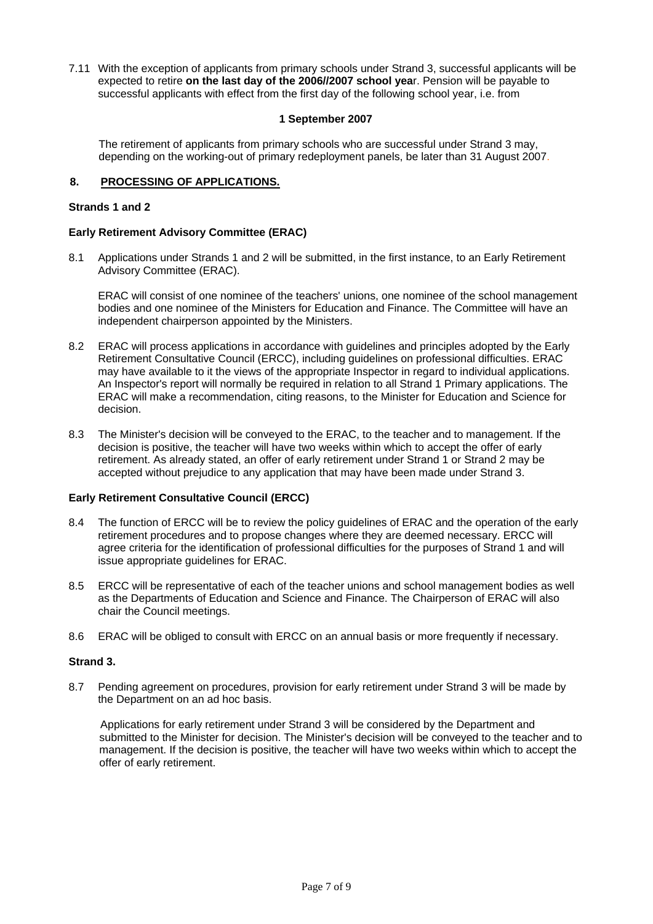7.11 With the exception of applicants from primary schools under Strand 3, successful applicants will be expected to retire **on the last day of the 2006//2007 school yea**r. Pension will be payable to successful applicants with effect from the first day of the following school year, i.e. from

# **1 September 2007**

The retirement of applicants from primary schools who are successful under Strand 3 may, depending on the working-out of primary redeployment panels, be later than 31 August 2007.

### **8. PROCESSING OF APPLICATIONS.**

### **Strands 1 and 2**

### **Early Retirement Advisory Committee (ERAC)**

8.1 Applications under Strands 1 and 2 will be submitted, in the first instance, to an Early Retirement Advisory Committee (ERAC).

 ERAC will consist of one nominee of the teachers' unions, one nominee of the school management bodies and one nominee of the Ministers for Education and Finance. The Committee will have an independent chairperson appointed by the Ministers.

- 8.2 ERAC will process applications in accordance with guidelines and principles adopted by the Early Retirement Consultative Council (ERCC), including guidelines on professional difficulties. ERAC may have available to it the views of the appropriate Inspector in regard to individual applications. An Inspector's report will normally be required in relation to all Strand 1 Primary applications. The ERAC will make a recommendation, citing reasons, to the Minister for Education and Science for decision.
- 8.3 The Minister's decision will be conveyed to the ERAC, to the teacher and to management. If the decision is positive, the teacher will have two weeks within which to accept the offer of early retirement. As already stated, an offer of early retirement under Strand 1 or Strand 2 may be accepted without prejudice to any application that may have been made under Strand 3.

# **Early Retirement Consultative Council (ERCC)**

- 8.4 The function of ERCC will be to review the policy guidelines of ERAC and the operation of the early retirement procedures and to propose changes where they are deemed necessary. ERCC will agree criteria for the identification of professional difficulties for the purposes of Strand 1 and will issue appropriate guidelines for ERAC.
- 8.5 ERCC will be representative of each of the teacher unions and school management bodies as well as the Departments of Education and Science and Finance. The Chairperson of ERAC will also chair the Council meetings.
- 8.6 ERAC will be obliged to consult with ERCC on an annual basis or more frequently if necessary.

# **Strand 3.**

8.7 Pending agreement on procedures, provision for early retirement under Strand 3 will be made by the Department on an ad hoc basis.

Applications for early retirement under Strand 3 will be considered by the Department and submitted to the Minister for decision. The Minister's decision will be conveyed to the teacher and to management. If the decision is positive, the teacher will have two weeks within which to accept the offer of early retirement.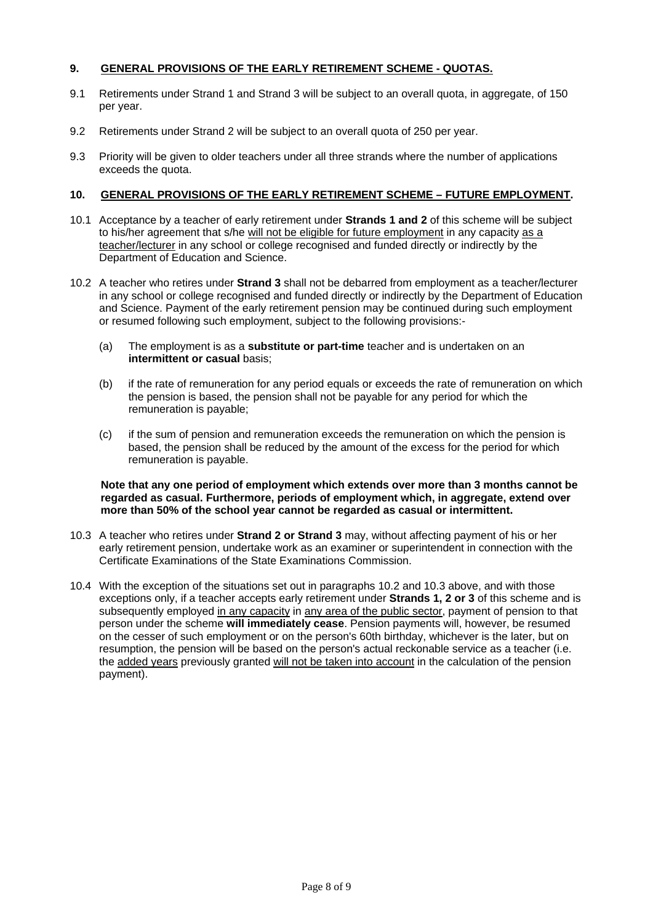# **9. GENERAL PROVISIONS OF THE EARLY RETIREMENT SCHEME - QUOTAS.**

- 9.1 Retirements under Strand 1 and Strand 3 will be subject to an overall quota, in aggregate, of 150 per year.
- 9.2 Retirements under Strand 2 will be subject to an overall quota of 250 per year.
- 9.3 Priority will be given to older teachers under all three strands where the number of applications exceeds the quota.

### **10. GENERAL PROVISIONS OF THE EARLY RETIREMENT SCHEME – FUTURE EMPLOYMENT.**

- 10.1 Acceptance by a teacher of early retirement under **Strands 1 and 2** of this scheme will be subject to his/her agreement that s/he will not be eligible for future employment in any capacity as a teacher/lecturer in any school or college recognised and funded directly or indirectly by the Department of Education and Science.
- 10.2 A teacher who retires under **Strand 3** shall not be debarred from employment as a teacher/lecturer in any school or college recognised and funded directly or indirectly by the Department of Education and Science. Payment of the early retirement pension may be continued during such employment or resumed following such employment, subject to the following provisions:-
	- (a) The employment is as a **substitute or part-time** teacher and is undertaken on an **intermittent or casual basis:**
	- (b) if the rate of remuneration for any period equals or exceeds the rate of remuneration on which the pension is based, the pension shall not be payable for any period for which the remuneration is payable;
	- (c) if the sum of pension and remuneration exceeds the remuneration on which the pension is based, the pension shall be reduced by the amount of the excess for the period for which remuneration is payable.

### **Note that any one period of employment which extends over more than 3 months cannot be regarded as casual. Furthermore, periods of employment which, in aggregate, extend over more than 50% of the school year cannot be regarded as casual or intermittent.**

- 10.3 A teacher who retires under **Strand 2 or Strand 3** may, without affecting payment of his or her early retirement pension, undertake work as an examiner or superintendent in connection with the Certificate Examinations of the State Examinations Commission.
- 10.4 With the exception of the situations set out in paragraphs 10.2 and 10.3 above, and with those exceptions only, if a teacher accepts early retirement under **Strands 1, 2 or 3** of this scheme and is subsequently employed in any capacity in any area of the public sector, payment of pension to that person under the scheme **will immediately cease**. Pension payments will, however, be resumed on the cesser of such employment or on the person's 60th birthday, whichever is the later, but on resumption, the pension will be based on the person's actual reckonable service as a teacher (i.e. the added years previously granted will not be taken into account in the calculation of the pension payment).